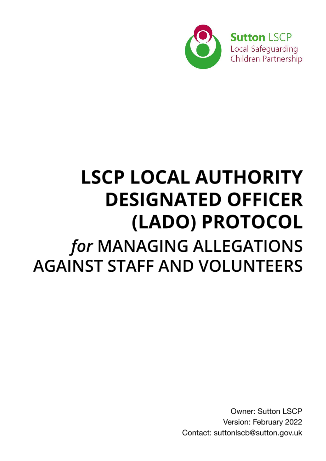

# **LSCP LOCAL AUTHORITY DESIGNATED OFFICER** (LADO) PROTOCOL for MANAGING ALLEGATIONS **AGAINST STAFF AND VOLUNTEERS**

Owner: Sutton LSCP Version: February 2022 Contact: suttonlscb@sutton.gov.uk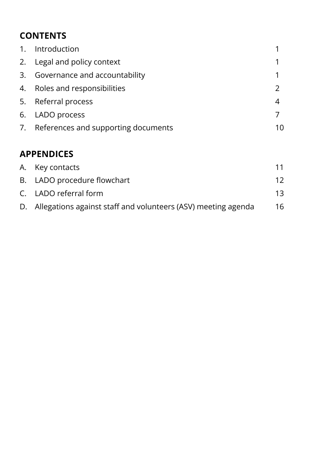# **CONTENTS**

| 1. Introduction                        |   |
|----------------------------------------|---|
| 2. Legal and policy context            |   |
| 3. Governance and accountability       |   |
| 4. Roles and responsibilities          |   |
| 5. Referral process                    | 4 |
| 6. LADO process                        |   |
| 7. References and supporting documents |   |

# **APPENDICES**

| A. Key contacts                                                  | 11 |
|------------------------------------------------------------------|----|
| B. LADO procedure flowchart                                      | 12 |
| C. LADO referral form                                            | 13 |
| D. Allegations against staff and volunteers (ASV) meeting agenda | 16 |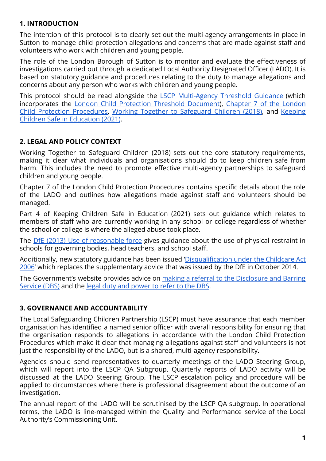#### **1. INTRODUCTION**

The intention of this protocol is to clearly set out the multi-agency arrangements in place in Sutton to manage child protection allegations and concerns that are made against staff and volunteers who work with children and young people.

The role of the London Borough of Sutton is to monitor and evaluate the effectiveness of investigations carried out through a dedicated Local Authority Designated Officer (LADO). It is based on statutory guidance and procedures relating to the duty to manage allegations and concerns about any person who works with children and young people.

This protocol should be read alongside the LSCP [Multi-Agency](http://www.suttonlscp.org.uk/static/guidance_files/Sutton_LSCP_Threshold_Guidance_2021.pdf) Threshold Guidance (which incorporates the London Child Protection Threshold [Document\)](http://www.londoncp.co.uk/files/revised_guidance_thresholds.pdf), [Chapter](https://www.londoncp.co.uk/alleg_staff.html?#7.1-introduction) 7 of the London Child Protection [Procedures,](https://www.londoncp.co.uk/alleg_staff.html?#7.1-introduction) Working Together to [Safeguard](https://assets.publishing.service.gov.uk/government/uploads/system/uploads/attachment_data/file/779401/Working_Together_to_Safeguard-Children.pdf) Children (2018), and [Keeping](https://assets.publishing.service.gov.uk/government/uploads/system/uploads/attachment_data/file/1021914/KCSIE_2021_September_guidance.pdf) [Children Safe in Education \(2021\)](https://assets.publishing.service.gov.uk/government/uploads/system/uploads/attachment_data/file/1021914/KCSIE_2021_September_guidance.pdf).

# **2. LEGAL AND POLICY CONTEXT**

Working Together to Safeguard Children (2018) sets out the core statutory requirements, making it clear what individuals and organisations should do to keep children safe from harm. This includes the need to promote effective multi-agency partnerships to safeguard children and young people.

Chapter 7 of the London Child Protection Procedures contains specific details about the role of the LADO and outlines how allegations made against staff and volunteers should be managed.

Part 4 of Keeping Children Safe in Education (2021) sets out guidance which relates to members of staff who are currently working in any school or college regardless of whether the school or college is where the alleged abuse took place.

The *DfE (2013) Use of [reasonable](https://assets.publishing.service.gov.uk/government/uploads/system/uploads/attachment_data/file/444051/Use_of_reasonable_force_advice_Reviewed_July_2015.pdf) force* gives guidance about the use of physical restraint in schools for governing bodies, head teachers, and school staff.

Additionally, new statutory guidance has been issued ['Disqualification](https://www.gov.uk/government/publications/disqualification-under-the-childcare-act-2006/disqualification-under-the-childcare-act-2006#disqualification-association) under the Childcare Act [2006](https://www.gov.uk/government/publications/disqualification-under-the-childcare-act-2006/disqualification-under-the-childcare-act-2006#disqualification-association)' which replaces the supplementary advice that was issued by the DfE in October 2014.

The Government's website provides advice on making a referral to the [Disclosure](https://www.gov.uk/guidance/making-barring-referrals-to-the-dbs) and Barring [Service \(DBS\)](https://www.gov.uk/guidance/making-barring-referrals-to-the-dbs) and the [legal duty and power to refer](https://www.gov.uk/government/collections/dbs-referrals-guidance-2) to the DBS.

#### **3. GOVERNANCE AND ACCOUNTABILITY**

The Local Safeguarding Children Partnership (LSCP) must have assurance that each member organisation has identified a named senior officer with overall responsibility for ensuring that the organisation responds to allegations in accordance with the London Child Protection Procedures which make it clear that managing allegations against staff and volunteers is not just the responsibility of the LADO, but is a shared, multi-agency responsibility.

Agencies should send representatives to quarterly meetings of the LADO Steering Group, which will report into the LSCP QA Subgroup. Quarterly reports of LADO activity will be discussed at the LADO Steering Group. The LSCP escalation policy and procedure will be applied to circumstances where there is professional disagreement about the outcome of an investigation.

The annual report of the LADO will be scrutinised by the LSCP QA subgroup. In operational terms, the LADO is line-managed within the Quality and Performance service of the Local Authority's Commissioning Unit.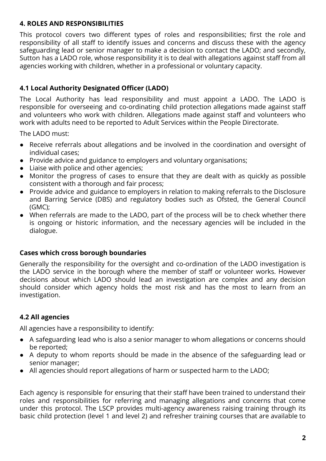#### **4. ROLES AND RESPONSIBILITIES**

This protocol covers two different types of roles and responsibilities; first the role and responsibility of all staff to identify issues and concerns and discuss these with the agency safeguarding lead or senior manager to make a decision to contact the LADO; and secondly, Sutton has a LADO role, whose responsibility it is to deal with allegations against staff from all agencies working with children, whether in a professional or voluntary capacity.

# **4.1 Local Authority Designated Officer (LADO)**

The Local Authority has lead responsibility and must appoint a LADO. The LADO is responsible for overseeing and co-ordinating child protection allegations made against staff and volunteers who work with children. Allegations made against staff and volunteers who work with adults need to be reported to Adult Services within the People Directorate.

The LADO must:

- Receive referrals about allegations and be involved in the coordination and oversight of individual cases;
- Provide advice and guidance to employers and voluntary organisations;
- Liaise with police and other agencies;
- Monitor the progress of cases to ensure that they are dealt with as quickly as possible consistent with a thorough and fair process;
- Provide advice and guidance to employers in relation to making referrals to the Disclosure and Barring Service (DBS) and regulatory bodies such as Ofsted, the General Council (GMC);
- When referrals are made to the LADO, part of the process will be to check whether there is ongoing or historic information, and the necessary agencies will be included in the dialogue.

#### **Cases which cross borough boundaries**

Generally the responsibility for the oversight and co-ordination of the LADO investigation is the LADO service in the borough where the member of staff or volunteer works. However decisions about which LADO should lead an investigation are complex and any decision should consider which agency holds the most risk and has the most to learn from an investigation.

# **4.2 All agencies**

All agencies have a responsibility to identify:

- A safeguarding lead who is also a senior manager to whom allegations or concerns should be reported;
- A deputy to whom reports should be made in the absence of the safeguarding lead or senior manager;
- All agencies should report allegations of harm or suspected harm to the LADO;

Each agency is responsible for ensuring that their staff have been trained to understand their roles and responsibilities for referring and managing allegations and concerns that come under this protocol. The LSCP provides multi-agency awareness raising training through its basic child protection (level 1 and level 2) and refresher training courses that are available to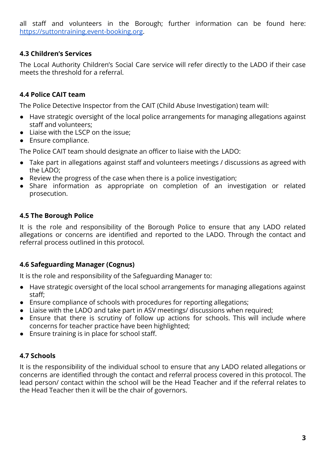all staff and volunteers in the Borough; further information can be found here: <https://suttontraining.event-booking.org>.

## **4.3 Children's Services**

The Local Authority Children's Social Care service will refer directly to the LADO if their case meets the threshold for a referral.

# **4.4 Police CAIT team**

The Police Detective Inspector from the CAIT (Child Abuse Investigation) team will:

- Have strategic oversight of the local police arrangements for managing allegations against staff and volunteers;
- Liaise with the LSCP on the issue;
- Ensure compliance.

The Police CAIT team should designate an officer to liaise with the LADO:

- Take part in allegations against staff and volunteers meetings / discussions as agreed with the LADO;
- Review the progress of the case when there is a police investigation;
- Share information as appropriate on completion of an investigation or related prosecution.

#### **4.5 The Borough Police**

It is the role and responsibility of the Borough Police to ensure that any LADO related allegations or concerns are identified and reported to the LADO. Through the contact and referral process outlined in this protocol.

#### **4.6 Safeguarding Manager (Cognus)**

It is the role and responsibility of the Safeguarding Manager to:

- Have strategic oversight of the local school arrangements for managing allegations against staff;
- Ensure compliance of schools with procedures for reporting allegations;
- Liaise with the LADO and take part in ASV meetings/ discussions when required;
- Ensure that there is scrutiny of follow up actions for schools. This will include where concerns for teacher practice have been highlighted;
- Ensure training is in place for school staff.

#### **4.7 Schools**

It is the responsibility of the individual school to ensure that any LADO related allegations or concerns are identified through the contact and referral process covered in this protocol. The lead person/ contact within the school will be the Head Teacher and if the referral relates to the Head Teacher then it will be the chair of governors.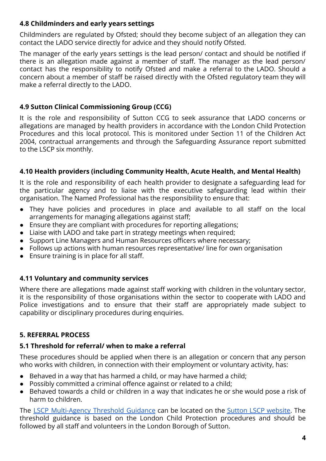#### **4.8 Childminders and early years settings**

Childminders are regulated by Ofsted; should they become subject of an allegation they can contact the LADO service directly for advice and they should notify Ofsted.

The manager of the early years settings is the lead person/ contact and should be notified if there is an allegation made against a member of staff. The manager as the lead person/ contact has the responsibility to notify Ofsted and make a referral to the LADO. Should a concern about a member of staff be raised directly with the Ofsted regulatory team they will make a referral directly to the LADO.

# **4.9 Sutton Clinical Commissioning Group (CCG)**

It is the role and responsibility of Sutton CCG to seek assurance that LADO concerns or allegations are managed by health providers in accordance with the London Child Protection Procedures and this local protocol. This is monitored under Section 11 of the Children Act 2004, contractual arrangements and through the Safeguarding Assurance report submitted to the LSCP six monthly.

# **4.10 Health providers (including Community Health, Acute Health, and Mental Health)**

It is the role and responsibility of each health provider to designate a safeguarding lead for the particular agency and to liaise with the executive safeguarding lead within their organisation. The Named Professional has the responsibility to ensure that:

- They have policies and procedures in place and available to all staff on the local arrangements for managing allegations against staff;
- Ensure they are compliant with procedures for reporting allegations;
- Liaise with LADO and take part in strategy meetings when required;
- Support Line Managers and Human Resources officers where necessary;
- Follows up actions with human resources representative/ line for own organisation
- Ensure training is in place for all staff.

# **4.11 Voluntary and community services**

Where there are allegations made against staff working with children in the voluntary sector, it is the responsibility of those organisations within the sector to cooperate with LADO and Police investigations and to ensure that their staff are appropriately made subject to capability or disciplinary procedures during enquiries.

# **5. REFERRAL PROCESS**

# **5.1 Threshold for referral/ when to make a referral**

These procedures should be applied when there is an allegation or concern that any person who works with children, in connection with their employment or voluntary activity, has:

- Behaved in a way that has harmed a child, or may have harmed a child;
- Possibly committed a criminal offence against or related to a child;
- Behaved towards a child or children in a way that indicates he or she would pose a risk of harm to children.

The LSCP [Multi-Agency](http://www.suttonlscp.org.uk/static/guidance_files/Sutton_LSCP_Threshold_Guidance_2021.pdf) Threshold Guidance can be located on the Sutton LSCP [website.](http://www.suttonlscp.org.uk/) The threshold guidance is based on the London Child Protection procedures and should be followed by all staff and volunteers in the London Borough of Sutton.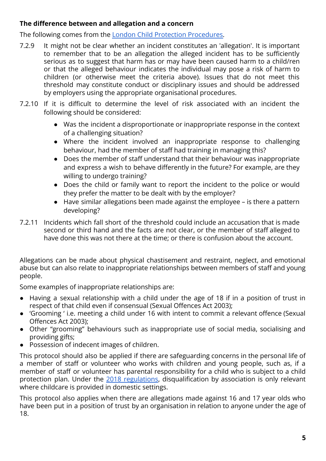#### **The difference between and allegation and a concern**

The following comes from the [London Child Protection](https://www.londoncp.co.uk/alleg_staff.html?#the-difference-between-an-allegation-and-a-concern) Procedures.

- 7.2.9 It might not be clear whether an incident constitutes an 'allegation'. It is important to remember that to be an allegation the alleged incident has to be sufficiently serious as to suggest that harm has or may have been caused harm to a child/ren or that the alleged behaviour indicates the individual may pose a risk of harm to children (or otherwise meet the criteria above). Issues that do not meet this threshold may constitute conduct or disciplinary issues and should be addressed by employers using the appropriate organisational procedures.
- 7.2.10 If it is difficult to determine the level of risk associated with an incident the following should be considered:
	- Was the incident a disproportionate or inappropriate response in the context of a challenging situation?
	- Where the incident involved an inappropriate response to challenging behaviour, had the member of staff had training in managing this?
	- Does the member of staff understand that their behaviour was inappropriate and express a wish to behave differently in the future? For example, are they willing to undergo training?
	- Does the child or family want to report the incident to the police or would they prefer the matter to be dealt with by the employer?
	- Have similar allegations been made against the employee is there a pattern developing?
- 7.2.11 Incidents which fall short of the threshold could include an accusation that is made second or third hand and the facts are not clear, or the member of staff alleged to have done this was not there at the time; or there is confusion about the account.

Allegations can be made about physical chastisement and restraint, neglect, and emotional abuse but can also relate to inappropriate relationships between members of staff and young people.

Some examples of inappropriate relationships are:

- Having a sexual relationship with a child under the age of 18 if in a position of trust in respect of that child even if consensual (Sexual Offences Act 2003);
- 'Grooming ' i.e. meeting a child under 16 with intent to commit a relevant offence (Sexual Offences Act 2003);
- Other "grooming" behaviours such as inappropriate use of social media, socialising and providing gifts;
- Possession of indecent images of children.

This protocol should also be applied if there are safeguarding concerns in the personal life of a member of staff or volunteer who works with children and young people, such as, if a member of staff or volunteer has parental responsibility for a child who is subject to a child protection plan. Under the 2018 [regulations](https://www.gov.uk/government/publications/disqualification-under-the-childcare-act-2006/disqualification-under-the-childcare-act-2006#disqualification-association), disqualification by association is only relevant where childcare is provided in domestic settings.

This protocol also applies when there are allegations made against 16 and 17 year olds who have been put in a position of trust by an organisation in relation to anyone under the age of 18.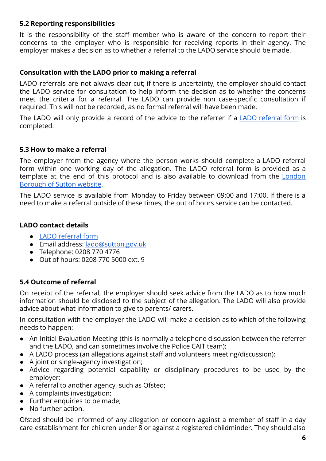#### **5.2 Reporting responsibilities**

It is the responsibility of the staff member who is aware of the concern to report their concerns to the employer who is responsible for receiving reports in their agency. The employer makes a decision as to whether a referral to the LADO service should be made.

#### **Consultation with the LADO prior to making a referral**

LADO referrals are not always clear cut; if there is uncertainty, the employer should contact the LADO service for consultation to help inform the decision as to whether the concerns meet the criteria for a referral. The LADO can provide non case-specific consultation if required. This will not be recorded, as no formal referral will have been made.

The LADO will only provide a record of the advice to the referrer if a LADO [referral](https://www.sutton.gov.uk/documents/20124/60395/LADO+Referral+Form+-+2021.docx/05f18ac2-de94-6ddd-8da7-9224bb2a46da?t=1643295435663) form is completed.

#### **5.3 How to make a referral**

The employer from the agency where the person works should complete a LADO referral form within one working day of the allegation. The LADO referral form is provided as a template at the end of this protocol and is also available to download from the [London](https://www.sutton.gov.uk/w/the-role-of-the-lado?) [Borough of Sutton website](https://www.sutton.gov.uk/w/the-role-of-the-lado?).

The LADO service is available from Monday to Friday between 09:00 and 17:00. If there is a need to make a referral outside of these times, the out of hours service can be contacted.

#### **LADO contact details**

- [LADO referral form](https://www.sutton.gov.uk/documents/20124/60395/LADO+Referral+Form+-+2021.docx/05f18ac2-de94-6ddd-8da7-9224bb2a46da?t=1643295435663)
- Email address: [lado@sutton.gov.uk](mailto:lado@sutton.gov.uk)
- Telephone: 0208 770 4776
- Out of hours: 0208 770 5000 ext. 9

#### **5.4 Outcome of referral**

On receipt of the referral, the employer should seek advice from the LADO as to how much information should be disclosed to the subject of the allegation. The LADO will also provide advice about what information to give to parents/ carers.

In consultation with the employer the LADO will make a decision as to which of the following needs to happen:

- An Initial Evaluation Meeting (this is normally a telephone discussion between the referrer and the LADO, and can sometimes involve the Police CAIT team);
- A LADO process (an allegations against staff and volunteers meeting/discussion);
- A joint or single-agency investigation;
- Advice regarding potential capability or disciplinary procedures to be used by the employer;
- A referral to another agency, such as Ofsted;
- A complaints investigation;
- Further enquiries to be made;
- No further action.

Ofsted should be informed of any allegation or concern against a member of staff in a day care establishment for children under 8 or against a registered childminder. They should also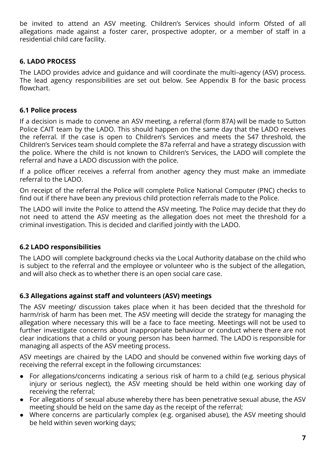be invited to attend an ASV meeting. Children's Services should inform Ofsted of all allegations made against a foster carer, prospective adopter, or a member of staff in a residential child care facility.

#### **6. LADO PROCESS**

The LADO provides advice and guidance and will coordinate the multi–agency (ASV) process. The lead agency responsibilities are set out below. See Appendix B for the basic process flowchart.

#### **6.1 Police process**

If a decision is made to convene an ASV meeting, a referral (form 87A) will be made to Sutton Police CAIT team by the LADO. This should happen on the same day that the LADO receives the referral. If the case is open to Children's Services and meets the S47 threshold, the Children's Services team should complete the 87a referral and have a strategy discussion with the police. Where the child is not known to Children's Services, the LADO will complete the referral and have a LADO discussion with the police.

If a police officer receives a referral from another agency they must make an immediate referral to the LADO.

On receipt of the referral the Police will complete Police National Computer (PNC) checks to find out if there have been any previous child protection referrals made to the Police.

The LADO will invite the Police to attend the ASV meeting. The Police may decide that they do not need to attend the ASV meeting as the allegation does not meet the threshold for a criminal investigation. This is decided and clarified jointly with the LADO.

# **6.2 LADO responsibilities**

The LADO will complete background checks via the Local Authority database on the child who is subject to the referral and the employee or volunteer who is the subject of the allegation, and will also check as to whether there is an open social care case.

#### **6.3 Allegations against staff and volunteers (ASV) meetings**

The ASV meeting/ discussion takes place when it has been decided that the threshold for harm/risk of harm has been met. The ASV meeting will decide the strategy for managing the allegation where necessary this will be a face to face meeting. Meetings will not be used to further investigate concerns about inappropriate behaviour or conduct where there are not clear indications that a child or young person has been harmed. The LADO is responsible for managing all aspects of the ASV meeting process.

ASV meetings are chaired by the LADO and should be convened within five working days of receiving the referral except in the following circumstances:

- For allegations/concerns indicating a serious risk of harm to a child (e.g. serious physical injury or serious neglect), the ASV meeting should be held within one working day of receiving the referral;
- For allegations of sexual abuse whereby there has been penetrative sexual abuse, the ASV meeting should be held on the same day as the receipt of the referral;
- Where concerns are particularly complex (e.g. organised abuse), the ASV meeting should be held within seven working days;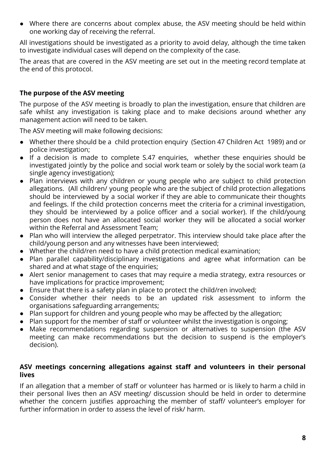● Where there are concerns about complex abuse, the ASV meeting should be held within one working day of receiving the referral.

All investigations should be investigated as a priority to avoid delay, although the time taken to investigate individual cases will depend on the complexity of the case.

The areas that are covered in the ASV meeting are set out in the meeting record template at the end of this protocol.

## **The purpose of the ASV meeting**

The purpose of the ASV meeting is broadly to plan the investigation, ensure that children are safe whilst any investigation is taking place and to make decisions around whether any management action will need to be taken.

The ASV meeting will make following decisions:

- Whether there should be a child protection enquiry (Section 47 Children Act 1989) and or police investigation;
- If a decision is made to complete S.47 enquiries, whether these enquiries should be investigated jointly by the police and social work team or solely by the social work team (a single agency investigation);
- Plan interviews with any children or young people who are subject to child protection allegations. (All children/ young people who are the subject of child protection allegations should be interviewed by a social worker if they are able to communicate their thoughts and feelings. If the child protection concerns meet the criteria for a criminal investigation, they should be interviewed by a police officer and a social worker). If the child/young person does not have an allocated social worker they will be allocated a social worker within the Referral and Assessment Team;
- Plan who will interview the alleged perpetrator. This interview should take place after the child/young person and any witnesses have been interviewed;
- Whether the child/ren need to have a child protection medical examination;
- Plan parallel capability/disciplinary investigations and agree what information can be shared and at what stage of the enquiries;
- Alert senior management to cases that may require a media strategy, extra resources or have implications for practice improvement;
- Ensure that there is a safety plan in place to protect the child/ren involved;
- Consider whether their needs to be an updated risk assessment to inform the organisations safeguarding arrangements;
- Plan support for children and young people who may be affected by the allegation;
- Plan support for the member of staff or volunteer whilst the investigation is ongoing;
- Make recommendations regarding suspension or alternatives to suspension (the ASV meeting can make recommendations but the decision to suspend is the employer's decision).

#### **ASV meetings concerning allegations against staff and volunteers in their personal lives**

If an allegation that a member of staff or volunteer has harmed or is likely to harm a child in their personal lives then an ASV meeting/ discussion should be held in order to determine whether the concern justifies approaching the member of staff/ volunteer's employer for further information in order to assess the level of risk/ harm.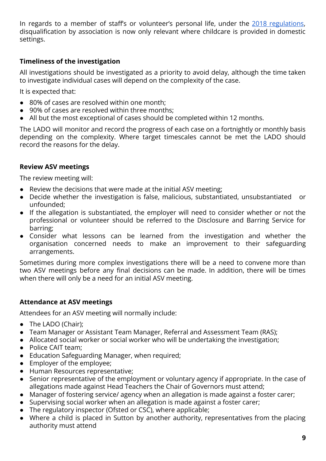In regards to a member of staff's or volunteer's personal life, under the 2018 [regulations](https://www.gov.uk/government/publications/disqualification-under-the-childcare-act-2006/disqualification-under-the-childcare-act-2006#disqualification-association), disqualification by association is now only relevant where childcare is provided in domestic settings.

## **Timeliness of the investigation**

All investigations should be investigated as a priority to avoid delay, although the time taken to investigate individual cases will depend on the complexity of the case.

It is expected that:

- 80% of cases are resolved within one month:
- 90% of cases are resolved within three months:
- All but the most exceptional of cases should be completed within 12 months.

The LADO will monitor and record the progress of each case on a fortnightly or monthly basis depending on the complexity. Where target timescales cannot be met the LADO should record the reasons for the delay.

#### **Review ASV meetings**

The review meeting will:

- Review the decisions that were made at the initial ASV meeting;
- Decide whether the investigation is false, malicious, substantiated, unsubstantiated or unfounded;
- If the allegation is substantiated, the employer will need to consider whether or not the professional or volunteer should be referred to the Disclosure and Barring Service for barring;
- Consider what lessons can be learned from the investigation and whether the organisation concerned needs to make an improvement to their safeguarding arrangements.

Sometimes during more complex investigations there will be a need to convene more than two ASV meetings before any final decisions can be made. In addition, there will be times when there will only be a need for an initial ASV meeting.

#### **Attendance at ASV meetings**

Attendees for an ASV meeting will normally include:

- The LADO (Chair);
- Team Manager or Assistant Team Manager, Referral and Assessment Team (RAS);
- Allocated social worker or social worker who will be undertaking the investigation;
- Police CAIT team;
- Education Safeguarding Manager, when required;
- Employer of the employee;
- Human Resources representative;
- Senior representative of the employment or voluntary agency if appropriate. In the case of allegations made against Head Teachers the Chair of Governors must attend;
- Manager of fostering service/ agency when an allegation is made against a foster carer;
- Supervising social worker when an allegation is made against a foster carer;
- The regulatory inspector (Ofsted or CSC), where applicable;
- Where a child is placed in Sutton by another authority, representatives from the placing authority must attend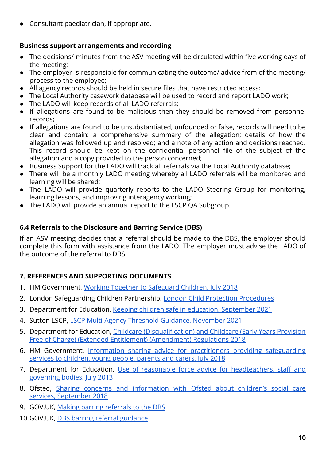● Consultant paediatrician, if appropriate.

# **Business support arrangements and recording**

- The decisions/ minutes from the ASV meeting will be circulated within five working days of the meeting;
- The employer is responsible for communicating the outcome/ advice from of the meeting/ process to the employee;
- All agency records should be held in secure files that have restricted access;
- The Local Authority casework database will be used to record and report LADO work;
- The LADO will keep records of all LADO referrals;
- If allegations are found to be malicious then they should be removed from personnel records;
- If allegations are found to be unsubstantiated, unfounded or false, records will need to be clear and contain: a comprehensive summary of the allegation; details of how the allegation was followed up and resolved; and a note of any action and decisions reached. This record should be kept on the confidential personnel file of the subject of the allegation and a copy provided to the person concerned;
- Business Support for the LADO will track all referrals via the Local Authority database;
- There will be a monthly LADO meeting whereby all LADO referrals will be monitored and learning will be shared;
- The LADO will provide quarterly reports to the LADO Steering Group for monitoring, learning lessons, and improving interagency working;
- The LADO will provide an annual report to the LSCP QA Subgroup.

# **6.4 Referrals to the Disclosure and Barring Service (DBS)**

If an ASV meeting decides that a referral should be made to the DBS, the employer should complete this form with assistance from the LADO. The employer must advise the LADO of the outcome of the referral to DBS.

# **7. REFERENCES AND SUPPORTING DOCUMENTS**

- 1. HM Government, [Working Together to Safeguard Children,](https://assets.publishing.service.gov.uk/government/uploads/system/uploads/attachment_data/file/779401/Working_Together_to_Safeguard-Children.pdf) July 2018
- 2. London Safeguarding Children Partnership, London Child [Protection Procedures](http://www.londoncp.co.uk/)
- 3. Department for Education, Keeping children safe in [education, September 2021](https://assets.publishing.service.gov.uk/government/uploads/system/uploads/attachment_data/file/1021914/KCSIE_2021_September_guidance.pdf)
- 4. Sutton LSCP, [LSCP Multi-Agency Threshold Guidance,](http://www.suttonlscp.org.uk/static/guidance_files/Sutton_LSCP_Threshold_Guidance_2021.pdf) November 2021
- 5. Department for Education, Childcare [\(Disqualification\)](https://www.gov.uk/government/publications/disqualification-under-the-childcare-act-2006/disqualification-under-the-childcare-act-2006#disqualification-association) and Childcare (Early Years Provision [Free of Charge\) \(Extended Entitlement\) \(Amendment\) Regulations 2018](https://www.gov.uk/government/publications/disqualification-under-the-childcare-act-2006/disqualification-under-the-childcare-act-2006#disqualification-association)
- 6. HM Government, Information sharing advice for practitioners providing [safeguarding](https://assets.publishing.service.gov.uk/government/uploads/system/uploads/attachment_data/file/721581/Information_sharing_advice_practitioners_safeguarding_services.pdf) [services to children, young people, parents and carers, July 2018](https://assets.publishing.service.gov.uk/government/uploads/system/uploads/attachment_data/file/721581/Information_sharing_advice_practitioners_safeguarding_services.pdf)
- 7. Department for Education, Use of reasonable force advice for [headteachers,](https://assets.publishing.service.gov.uk/government/uploads/system/uploads/attachment_data/file/444051/Use_of_reasonable_force_advice_Reviewed_July_2015.pdf) staff and [governing bodies, July 2013](https://assets.publishing.service.gov.uk/government/uploads/system/uploads/attachment_data/file/444051/Use_of_reasonable_force_advice_Reviewed_July_2015.pdf)
- 8. Ofsted, Sharing concerns and [information](https://www.gov.uk/government/publications/whistleblowing-about-childrens-social-care-services-to-ofsted/sharing-concerns-and-information-with-ofsted-about-childrens-social-care-services) with Ofsted about children's social care [services, September 2018](https://www.gov.uk/government/publications/whistleblowing-about-childrens-social-care-services-to-ofsted/sharing-concerns-and-information-with-ofsted-about-childrens-social-care-services)
- 9. GOV.UK, [Making barring referrals to the DBS](https://www.gov.uk/guidance/making-barring-referrals-to-the-dbs)
- 10. GOV.UK, [DBS barring referral guidance](https://www.gov.uk/government/collections/dbs-referrals-guidance-2)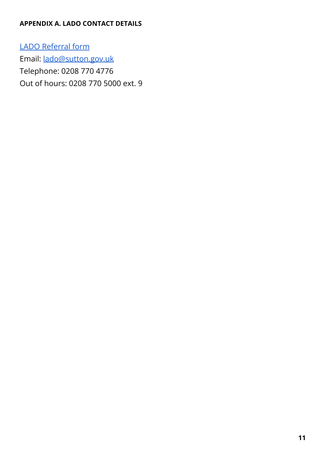## **APPENDIX A. LADO CONTACT DETAILS**

LADO [Referral](https://www.sutton.gov.uk/documents/20124/60395/LADO+Referral+Form+-+2021.docx/05f18ac2-de94-6ddd-8da7-9224bb2a46da?t=1643295435663) form Email: [lado@sutton.gov.uk](mailto:lado@sutton.gov.uk) Telephone: 0208 770 4776 Out of hours: 0208 770 5000 ext. 9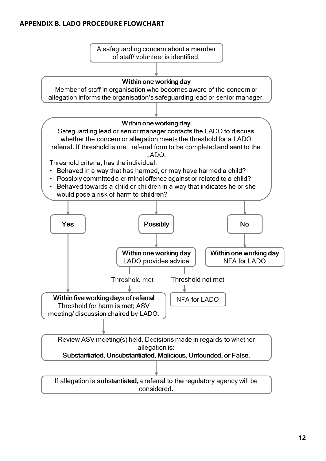#### **APPENDIX B. LADO PROCEDURE FLOWCHART**

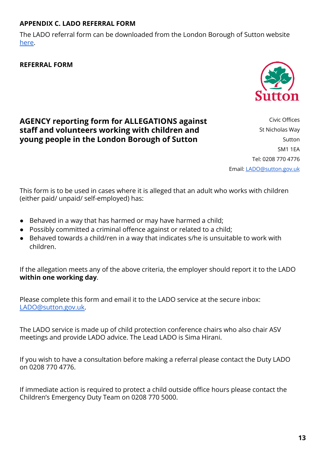# **APPENDIX C. LADO REFERRAL FORM**

The LADO referral form can be downloaded from the London Borough of Sutton website [here.](https://www.sutton.gov.uk/documents/20124/60395/LADO+Referral+Form+-+2021.docx/05f18ac2-de94-6ddd-8da7-9224bb2a46da?t=1643295435663)

**REFERRAL FORM**

# **AGENCY reporting form for ALLEGATIONS against staff and volunteers working with children and young people in the London Borough of Sutton**

Civic Offices St Nicholas Way Sutton SM1 1EA Tel: 0208 770 4776 Email: [LADO@sutton.gov.uk](mailto:LADO@sutton.gov.uk)

This form is to be used in cases where it is alleged that an adult who works with children (either paid/ unpaid/ self-employed) has:

- Behaved in a way that has harmed or may have harmed a child;
- Possibly committed a criminal offence against or related to a child;
- Behaved towards a child/ren in a way that indicates s/he is unsuitable to work with children.

If the allegation meets any of the above criteria, the employer should report it to the LADO **within one working day**.

Please complete this form and email it to the LADO service at the secure inbox: [LADO@sutton.gov.uk.](mailto:LADO@sutton.gov.uk)

The LADO service is made up of child protection conference chairs who also chair ASV meetings and provide LADO advice. The Lead LADO is Sima Hirani.

If you wish to have a consultation before making a referral please contact the Duty LADO on 0208 770 4776.

If immediate action is required to protect a child outside office hours please contact the Children's Emergency Duty Team on 0208 770 5000.

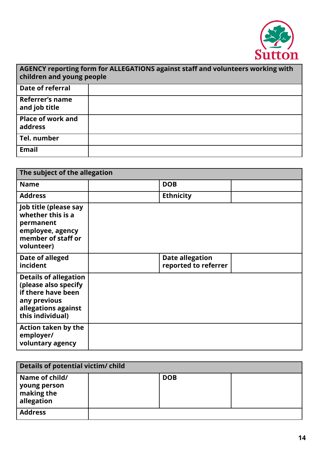

| AGENCY reporting form for ALLEGATIONS against staff and volunteers working with<br>children and young people |  |  |  |  |
|--------------------------------------------------------------------------------------------------------------|--|--|--|--|
| Date of referral                                                                                             |  |  |  |  |
| Referrer's name<br>and job title                                                                             |  |  |  |  |
| <b>Place of work and</b><br>address                                                                          |  |  |  |  |
| Tel. number                                                                                                  |  |  |  |  |
| <b>Email</b>                                                                                                 |  |  |  |  |

| The subject of the allegation                                                                                                         |  |                                                |  |  |
|---------------------------------------------------------------------------------------------------------------------------------------|--|------------------------------------------------|--|--|
| <b>Name</b>                                                                                                                           |  | <b>DOB</b>                                     |  |  |
| <b>Address</b>                                                                                                                        |  | <b>Ethnicity</b>                               |  |  |
| Job title (please say<br>whether this is a<br>permanent<br>employee, agency<br>member of staff or<br>volunteer)                       |  |                                                |  |  |
| Date of alleged<br>incident                                                                                                           |  | <b>Date allegation</b><br>reported to referrer |  |  |
| <b>Details of allegation</b><br>(please also specify<br>if there have been<br>any previous<br>allegations against<br>this individual) |  |                                                |  |  |
| <b>Action taken by the</b><br>employer/<br>voluntary agency                                                                           |  |                                                |  |  |

| Details of potential victim/ child                           |  |            |  |  |
|--------------------------------------------------------------|--|------------|--|--|
| Name of child/<br>  young person<br>making the<br>allegation |  | <b>DOB</b> |  |  |
| <b>Address</b>                                               |  |            |  |  |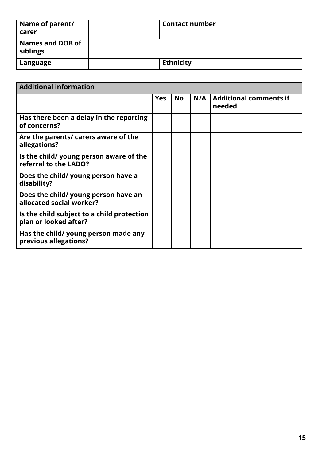| Name of parent/<br>carer            | <b>Contact number</b> |  |
|-------------------------------------|-----------------------|--|
| <b>Names and DOB of</b><br>siblings |                       |  |
| Language                            | <b>Ethnicity</b>      |  |

| <b>Additional information</b>                                       |            |           |     |                                         |
|---------------------------------------------------------------------|------------|-----------|-----|-----------------------------------------|
|                                                                     | <b>Yes</b> | <b>No</b> | N/A | <b>Additional comments if</b><br>needed |
| Has there been a delay in the reporting<br>of concerns?             |            |           |     |                                         |
| Are the parents/ carers aware of the<br>allegations?                |            |           |     |                                         |
| Is the child/ young person aware of the<br>referral to the LADO?    |            |           |     |                                         |
| Does the child/ young person have a<br>disability?                  |            |           |     |                                         |
| Does the child/ young person have an<br>allocated social worker?    |            |           |     |                                         |
| Is the child subject to a child protection<br>plan or looked after? |            |           |     |                                         |
| Has the child/ young person made any<br>previous allegations?       |            |           |     |                                         |